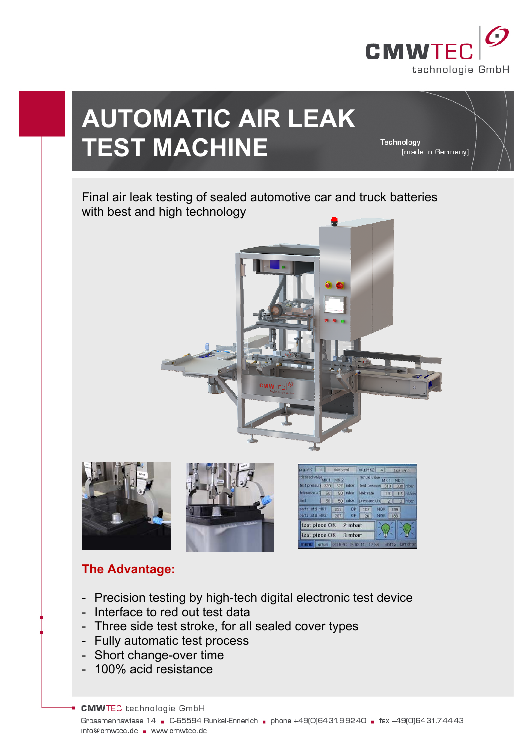

# **AUTOMATIC AIR LEAK TEST MACHINE**

Technology [made in Germany]

## Final air leak testing of sealed automotive car and truck batteries with best and high technology



## **The Advantage:**

- Precision testing by high-tech digital electronic test device
- Interface to red out test data
- Three side test stroke, for all sealed cover types
- Fully automatic test process
- Short change-over time
- 100% acid resistance